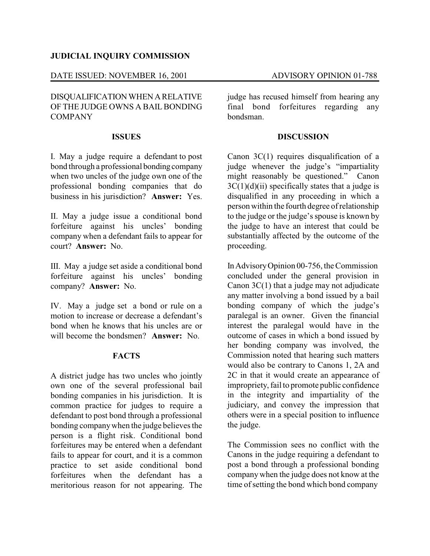### **JUDICIAL INQUIRY COMMISSION**

### DATE ISSUED: NOVEMBER 16, 2001 ADVISORY OPINION 01-788

## DISQUALIFICATIONWHEN ARELATIVE OF THE JUDGE OWNS A BAIL BONDING COMPANY

#### **ISSUES**

I. May a judge require a defendant to post bond through a professional bonding company when two uncles of the judge own one of the professional bonding companies that do business in his jurisdiction? **Answer:** Yes.

II. May a judge issue a conditional bond forfeiture against his uncles' bonding company when a defendant fails to appear for court? **Answer:** No.

III. May a judge set aside a conditional bond forfeiture against his uncles' bonding company? **Answer:** No.

IV. May a judge set a bond or rule on a motion to increase or decrease a defendant's bond when he knows that his uncles are or will become the bondsmen? **Answer:** No.

## **FACTS**

A district judge has two uncles who jointly own one of the several professional bail bonding companies in his jurisdiction. It is common practice for judges to require a defendant to post bond through a professional bonding companywhen the judge believes the person is a flight risk. Conditional bond forfeitures may be entered when a defendant fails to appear for court, and it is a common practice to set aside conditional bond forfeitures when the defendant has a meritorious reason for not appearing. The

judge has recused himself from hearing any final bond forfeitures regarding any bondsman.

#### **DISCUSSION**

Canon 3C(1) requires disqualification of a judge whenever the judge's "impartiality might reasonably be questioned." Canon  $3C(1)(d)(ii)$  specifically states that a judge is disqualified in any proceeding in which a person within the fourth degree of relationship to the judge or the judge's spouse is known by the judge to have an interest that could be substantially affected by the outcome of the proceeding.

InAdvisoryOpinion 00-756, the Commission concluded under the general provision in Canon  $3C(1)$  that a judge may not adjudicate any matter involving a bond issued by a bail bonding company of which the judge's paralegal is an owner. Given the financial interest the paralegal would have in the outcome of cases in which a bond issued by her bonding company was involved, the Commission noted that hearing such matters would also be contrary to Canons 1, 2A and 2C in that it would create an appearance of impropriety, fail to promote public confidence in the integrity and impartiality of the judiciary, and convey the impression that others were in a special position to influence the judge.

The Commission sees no conflict with the Canons in the judge requiring a defendant to post a bond through a professional bonding company when the judge does not know at the time of setting the bond which bond company